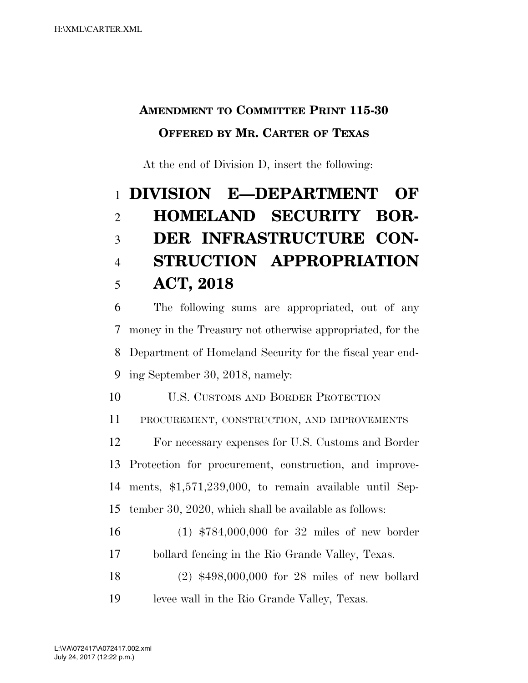## **AMENDMENT TO COMMITTEE PRINT 115-30 OFFERED BY MR. CARTER OF TEXAS**

At the end of Division D, insert the following:

## **DIVISION E—DEPARTMENT OF HOMELAND SECURITY BOR- DER INFRASTRUCTURE CON- STRUCTION APPROPRIATION ACT, 2018**

 The following sums are appropriated, out of any money in the Treasury not otherwise appropriated, for the Department of Homeland Security for the fiscal year end-ing September 30, 2018, namely:

U.S. CUSTOMS AND BORDER PROTECTION

PROCUREMENT, CONSTRUCTION, AND IMPROVEMENTS

 For necessary expenses for U.S. Customs and Border Protection for procurement, construction, and improve- ments, \$1,571,239,000, to remain available until Sep-tember 30, 2020, which shall be available as follows:

- (1) \$784,000,000 for 32 miles of new border bollard fencing in the Rio Grande Valley, Texas.
- (2) \$498,000,000 for 28 miles of new bollard levee wall in the Rio Grande Valley, Texas.